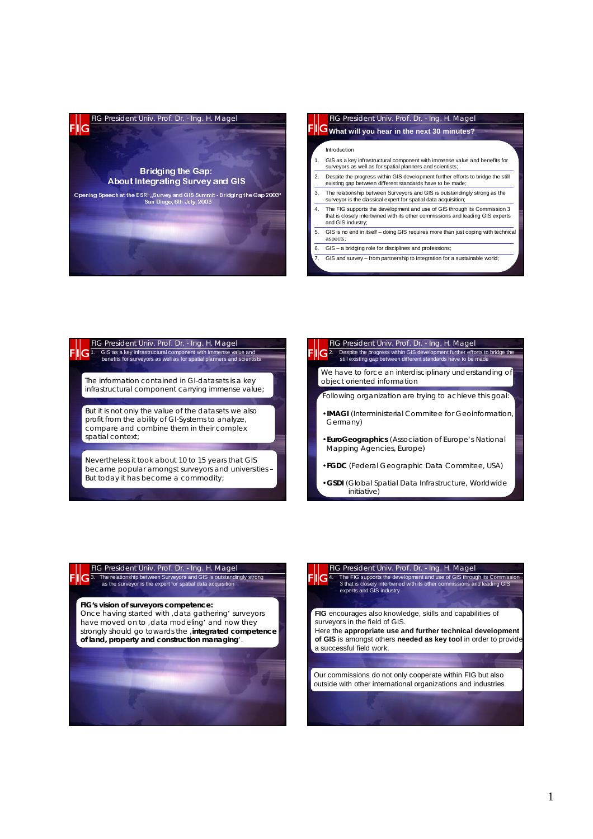

#### FIG President Univ. Prof. Dr. - Ing. H. Magel Introduction 1. GIS as a key infrastructural component with immense value and benefits for surveyors as well as for spatial planners and scientists; 2. Despite the progress within GIS development further efforts to bridge the still existing gap between different standards have to be made; The relationship between Surveyors and GIS is outstandingly strong as the surveyor is the classical expert for spatial data acquisition; 4. The FIG supports the development and use of GIS through its Commission 3 that is closely intertwined with its other commissions and leading GIS experts and GIS industry; GIS is no end in itself – doing GIS requires more than just coping with technical aspects; 6. GIS – a bridging role for disciplines and professions; 7. GIS and survey – from partnership to integration for a sustainable world; **What will you hear in the next 30 minutes?**

# FIG President Univ. Prof. Dr. - Ing. H. Magel<br>
G1. GIS as a key infrastructural component with immense va 1. GIS as a key infrastructural component with immense value and benefits for surveyors as well as for spatial planners and scientists The information contained in GI-datasets is a key infrastructural component carrying immense value; But it is not only the value of the datasets we also profit from the ability of GI-Systems to analyze, compare and combine them in their complex spatial context;

Nevertheless it took about 10 to 15 years that GIS became popular amongst surveyors and universities – But today it has become a commodity;

**FIG President Univ. Prof. Dr. - Ing. H. Magel** <br> **G** 2. Despite the progress within GIS development further effort 2. Despite the progress within GIS development further efforts to bridge the still existing gap between different standards have to be made We have to force an interdisciplinary understanding of object oriented information Following organization are trying to achieve this goal: •**IMAGI** (Interministerial Commitee for Geoinformation, Germany) •**EuroGeographics** (Association of Europe's National Mapping Agencies, Europe)

- •**FGDC** (Federal Geographic Data Commitee, USA)
- •**GSDI** (Global Spatial Data Infrastructure, Worldwide initiative)

### FIG President Univ. Prof. Dr. - Ing. H. Magel 3. The relationship between Surveyors and GIS is outstandingly strong as the surveyor is the expert for spatial data acquisition

**FIG's vision of surveyors competence:**

Once having started with , data gathering' surveyors have moved on to , data modeling' and now they strongly should go towards the , integrated competence **of land, property and construction managing**'.



# FIG President Univ. Prof. Dr. - Ing. H. Magel 4. The FIG supports the development and use of GIS through its Commission 3 that is closely intertwined with its other commissions and leading GIS experts and GIS industry

**FIG** encourages also knowledge, skills and capabilities of surveyors in the field of GIS.

Here the **appropriate use and further technical development of GIS** is amongst others **needed as key tool** in order to provide a successful field work.

Our commissions do not only cooperate within FIG but also outside with other international organizations and industries